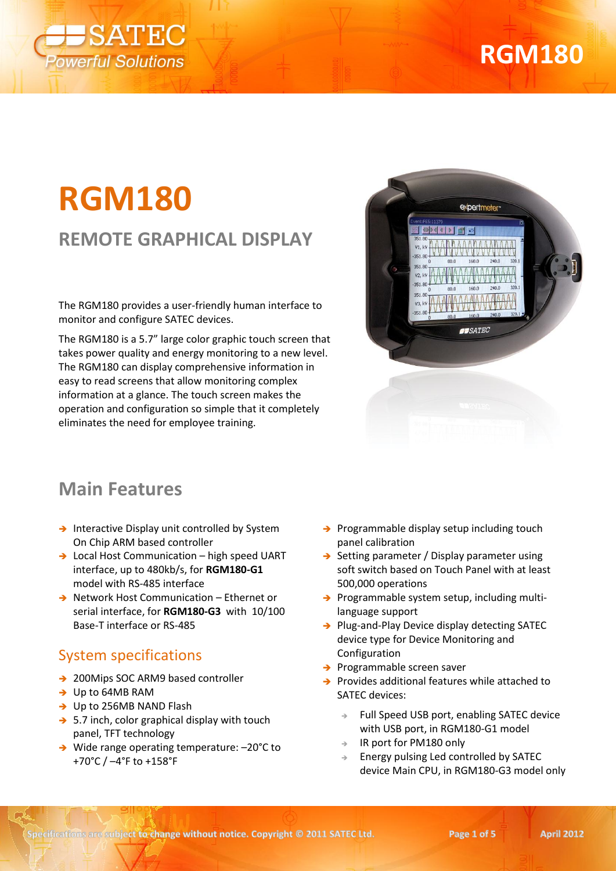

# **RGM180**

### **REMOTE GRAPHICAL DISPLAY**

The RGM180 provides a user-friendly human interface to monitor and configure SATEC devices.

The RGM180 is a 5.7" large color graphic touch screen that takes power quality and energy monitoring to a new level. The RGM180 can display comprehensive information in easy to read screens that allow monitoring complex information at a glance. The touch screen makes the operation and configuration so simple that it completely eliminates the need for employee training.



### **Main Features**

- $\rightarrow$  Interactive Display unit controlled by System On Chip ARM based controller
- → Local Host Communication high speed UART interface, up to 480kb/s, for **RGM180-G1** model with RS-485 interface
- → Network Host Communication Ethernet or serial interface, for **RGM180-G3** with 10/100 Base-T interface or RS-485

#### System specifications

- → 200Mips SOC ARM9 based controller
- → Up to 64MB RAM
- → Up to 256MB NAND Flash
- $\rightarrow$  5.7 inch, color graphical display with touch panel, TFT technology
- → Wide range operating temperature: -20°C to +70°C / –4°F to +158°F
- $\rightarrow$  Programmable display setup including touch panel calibration
- $\rightarrow$  Setting parameter / Display parameter using soft switch based on Touch Panel with at least 500,000 operations
- $\rightarrow$  Programmable system setup, including multilanguage support
- $\rightarrow$  Plug-and-Play Device display detecting SATEC device type for Device Monitoring and Configuration
- $\rightarrow$  Programmable screen saver
- $\rightarrow$  Provides additional features while attached to SATEC devices:
	- Full Speed USB port, enabling SATEC device with USB port, in RGM180-G1 model
	- IR port for PM180 only
	- Energy pulsing Led controlled by SATEC device Main CPU, in RGM180-G3 model only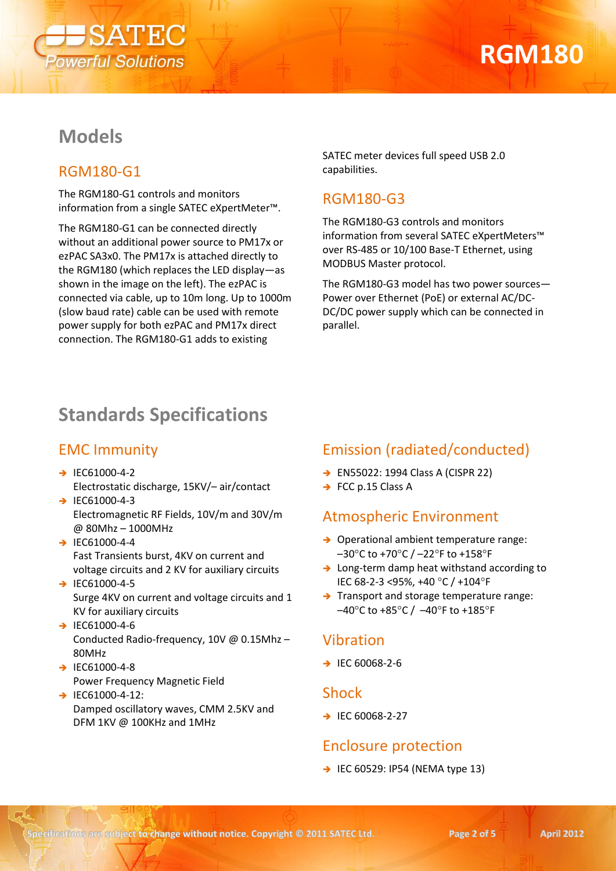

### **Models**

#### RGM180-G1

The RGM180-G1 controls and monitors information from a single SATEC eXpertMeter™.

The RGM180-G1 can be connected directly without an additional power source to PM17x or ezPAC SA3x0. The PM17x is attached directly to the RGM180 (which replaces the LED display—as shown in the image on the left). The ezPAC is connected via cable, up to 10m long. Up to 1000m (slow baud rate) cable can be used with remote power supply for both ezPAC and PM17x direct connection. The RGM180-G1 adds to existing

SATEC meter devices full speed USB 2.0 capabilities.

#### RGM180-G3

The RGM180-G3 controls and monitors information from several SATEC eXpertMeters™ over RS-485 or 10/100 Base-T Ethernet, using MODBUS Master protocol.

The RGM180-G3 model has two power sources— Power over Ethernet (PoE) or external AC/DC-DC/DC power supply which can be connected in parallel.

### **Standards Specifications**

#### EMC Immunity

- $\rightarrow$  IEC61000-4-2 Electrostatic discharge, 15KV/– air/contact
- $\rightarrow$  IEC61000-4-3 Electromagnetic RF Fields, 10V/m and 30V/m @ 80Mhz – 1000MHz
- $\rightarrow$  IEC61000-4-4 Fast Transients burst, 4KV on current and voltage circuits and 2 KV for auxiliary circuits
- $\rightarrow$  IEC61000-4-5 Surge 4KV on current and voltage circuits and 1 KV for auxiliary circuits
- $\rightarrow$  IEC61000-4-6 Conducted Radio-frequency, 10V @ 0.15Mhz – 80MHz
- $\rightarrow$  IEC61000-4-8 Power Frequency Magnetic Field
- $\rightarrow$  IEC61000-4-12: Damped oscillatory waves, CMM 2.5KV and DFM 1KV @ 100KHz and 1MHz

#### Emission (radiated/conducted)

- → EN55022: 1994 Class A (CISPR 22)
- $\rightarrow$  FCC p.15 Class A

#### Atmospheric Environment

- $\rightarrow$  Operational ambient temperature range:  $-30^{\circ}$ C to +70 $^{\circ}$ C /  $-22^{\circ}$ F to +158 $^{\circ}$ F
- → Long-term damp heat withstand according to IEC 68-2-3 <95%, +40 °C / +104°F
- $\rightarrow$  Transport and storage temperature range:  $-40^{\circ}$ C to +85 $^{\circ}$ C /  $-40^{\circ}$ F to +185 $^{\circ}$ F

#### Vibration

 $\rightarrow$  IEC 60068-2-6

#### Shock

 $\rightarrow$  IEC 60068-2-27

#### Enclosure protection

 $\rightarrow$  IEC 60529: IP54 (NEMA type 13)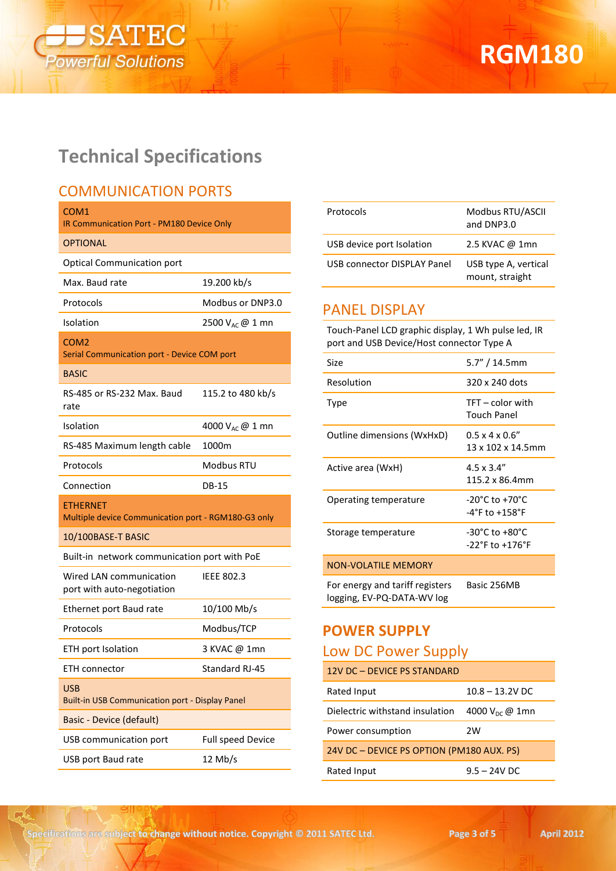

## **Technical Specifications**

#### COMMUNICATION PORTS

| COM1<br>IR Communication Port - PM180 Device Only               |                             |  |
|-----------------------------------------------------------------|-----------------------------|--|
| <b>OPTIONAL</b>                                                 |                             |  |
| <b>Optical Communication port</b>                               |                             |  |
| Max. Baud rate                                                  | 19.200 kb/s                 |  |
| Protocols                                                       | Modbus or DNP3.0            |  |
| Isolation                                                       | 2500 V <sub>AC</sub> @ 1 mn |  |
| COM <sub>2</sub><br>Serial Communication port - Device COM port |                             |  |
| <b>BASIC</b>                                                    |                             |  |
| RS-485 or RS-232 Max. Baud<br>rate                              | 115.2 to 480 kb/s           |  |
| Isolation                                                       | 4000 V <sub>AC</sub> @ 1 mn |  |
| RS-485 Maximum length cable                                     | 1000m                       |  |
| Protocols                                                       | Modbus RTU                  |  |
| Connection                                                      | <b>DB-15</b>                |  |
| ETHERNET<br>Multiple device Communication port - RGM180-G3 only |                             |  |
| 10/100BASE-T BASIC                                              |                             |  |
| Built-in network communication port with PoE                    |                             |  |
| Wired LAN communication<br>port with auto-negotiation           | <b>IEEE 802.3</b>           |  |
| Ethernet port Baud rate                                         | 10/100 Mb/s                 |  |
| Protocols                                                       | Modbus/TCP                  |  |
| ETH port Isolation                                              | 3 KVAC @ 1mn                |  |
| ETH connector                                                   | Standard RJ-45              |  |
| <b>USB</b><br>Built-in USB Communication port - Display Panel   |                             |  |
| Basic - Device (default)                                        |                             |  |
| USB communication port                                          | Full speed Device           |  |
| USB port Baud rate                                              | $12$ Mb/s                   |  |

| Protocols                   | Modbus RTU/ASCII<br>and DNP3.0          |
|-----------------------------|-----------------------------------------|
| USB device port Isolation   | 2.5 KVAC @ 1mn                          |
| USB connector DISPLAY Panel | USB type A, vertical<br>mount, straight |

#### PANEL DISPLAY

Touch-Panel LCD graphic display, 1 Wh pulse led, IR port and USB Device/Host connector Type A

| Size                                                          | $5.7''/14.5$ mm                                                           |
|---------------------------------------------------------------|---------------------------------------------------------------------------|
| Resolution                                                    | 320 x 240 dots                                                            |
| Type                                                          | $TFT$ – color with<br>Touch Panel                                         |
| Outline dimensions (WxHxD)                                    | $0.5 \times 4 \times 0.6$ "<br>13 x 102 x 14.5mm                          |
| Active area (WxH)                                             | $4.5 \times 3.4$ "<br>115.2 x 86.4mm                                      |
| <b>Operating temperature</b>                                  | $-20^{\circ}$ C to $+70^{\circ}$ C<br>$-4^{\circ}$ F to $+158^{\circ}$ F  |
| Storage temperature                                           | $-30^{\circ}$ C to $+80^{\circ}$ C<br>$-22^{\circ}$ F to $+176^{\circ}$ F |
| <b>NON-VOLATILE MEMORY</b>                                    |                                                                           |
| For energy and tariff registers<br>logging, EV-PQ-DATA-WV log | Basic 256MB                                                               |

#### **POWER SUPPLY**

#### Low DC Power Supply

| 12V DC - DEVICE PS STANDARD               |                             |  |
|-------------------------------------------|-----------------------------|--|
| Rated Input                               | $10.8 - 13.2V$ DC           |  |
| Dielectric withstand insulation           | 4000 $V_{\text{DC}} @ 1$ mn |  |
| Power consumption                         | 2W                          |  |
| 24V DC - DEVICE PS OPTION (PM180 AUX. PS) |                             |  |
| Rated Input                               | $9.5 - 24V$ DC              |  |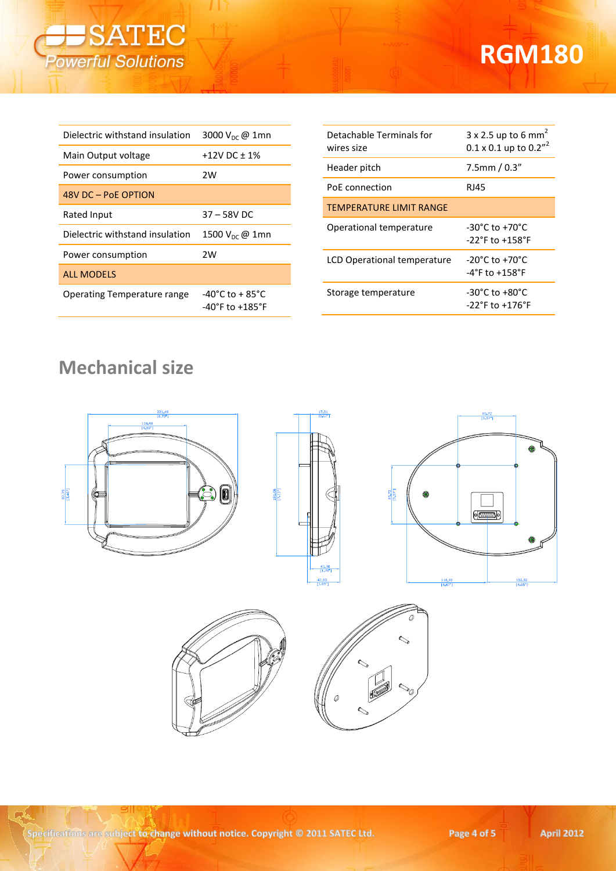

| Dielectric withstand insulation    | 3000 $V_{\text{DC}} @ 1mn$                                                  |  |
|------------------------------------|-----------------------------------------------------------------------------|--|
| Main Output voltage                | +12V DC $\pm$ 1%                                                            |  |
| Power consumption                  | 2W                                                                          |  |
| 48V DC - PoE OPTION                |                                                                             |  |
| Rated Input                        | 37 – 58V DC                                                                 |  |
| Dielectric withstand insulation    | 1500 $V_{\text{DC}}$ @ 1mn                                                  |  |
| Power consumption                  | 2W                                                                          |  |
| <b>ALL MODELS</b>                  |                                                                             |  |
| <b>Operating Temperature range</b> | $-40^{\circ}$ C to + 85 $^{\circ}$ C<br>$-40^{\circ}$ F to $+185^{\circ}$ F |  |

| Detachable Terminals for<br>wires size | $3 \times 2.5$ up to 6 mm <sup>2</sup><br>$0.1 \times 0.1$ up to $0.2''$  |
|----------------------------------------|---------------------------------------------------------------------------|
| Header pitch                           | $7.5$ mm / $0.3"$                                                         |
| PoE connection                         | <b>RJ45</b>                                                               |
| <b>TEMPERATURE LIMIT RANGE</b>         |                                                                           |
| Operational temperature                | $-30^{\circ}$ C to $+70^{\circ}$ C<br>$-22^{\circ}$ F to $+158^{\circ}$ F |
| LCD Operational temperature            | $-20^{\circ}$ C to $+70^{\circ}$ C<br>$-4^{\circ}$ F to $+158^{\circ}$ F  |
| Storage temperature                    | $-30^{\circ}$ C to $+80^{\circ}$ C<br>$-22^{\circ}$ F to $+176^{\circ}$ F |

## **Mechanical size**



 $\mathbb{R}$ 

 $\sim$